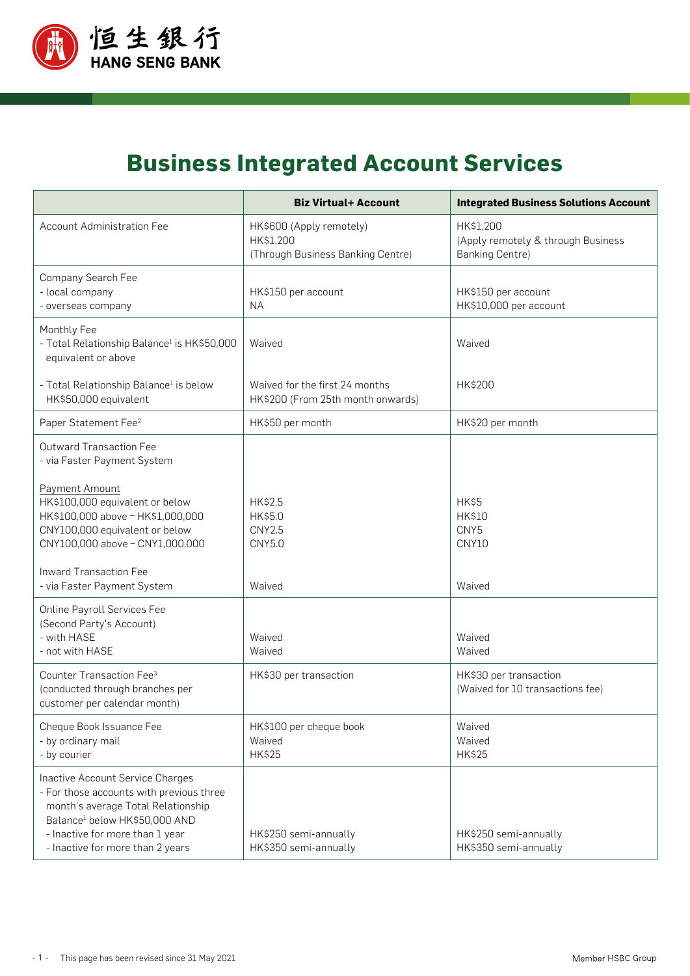

## **Business Integrated Account Services**

|                                                                                                                                                                                                                                        | <b>Biz Virtual+ Account</b>                                                | <b>Integrated Business Solutions Account</b>                              |
|----------------------------------------------------------------------------------------------------------------------------------------------------------------------------------------------------------------------------------------|----------------------------------------------------------------------------|---------------------------------------------------------------------------|
| <b>Account Administration Fee</b>                                                                                                                                                                                                      | HK\$600 (Apply remotely)<br>HK\$1,200<br>(Through Business Banking Centre) | HK\$1,200<br>(Apply remotely & through Business<br><b>Banking Centre)</b> |
| Company Search Fee<br>- local company<br>- overseas company                                                                                                                                                                            | HK\$150 per account<br><b>NA</b>                                           | HK\$150 per account<br>HK\$10,000 per account                             |
| Monthly Fee<br>- Total Relationship Balance <sup>1</sup> is HK\$50,000<br>equivalent or above                                                                                                                                          | Waived                                                                     | Waived                                                                    |
| - Total Relationship Balance <sup>1</sup> is below<br>HK\$50,000 equivalent                                                                                                                                                            | Waived for the first 24 months<br>HK\$200 (From 25th month onwards)        | HK\$200                                                                   |
| Paper Statement Fee <sup>2</sup>                                                                                                                                                                                                       | HK\$50 per month                                                           | HK\$20 per month                                                          |
| <b>Outward Transaction Fee</b><br>- via Faster Payment System                                                                                                                                                                          |                                                                            |                                                                           |
| Payment Amount<br>HK\$100,000 equivalent or below<br>HK\$100,000 above - HK\$1,000,000<br>CNY100,000 equivalent or below<br>CNY100,000 above - CNY1,000,000                                                                            | HK\$2.5<br>HK\$5.0<br><b>CNY2.5</b><br>CNY5.0                              | HK\$5<br><b>HK\$10</b><br>CNY5<br>CNY10                                   |
| <b>Inward Transaction Fee</b><br>- via Faster Payment System                                                                                                                                                                           | Waived                                                                     | Waived                                                                    |
| <b>Online Payroll Services Fee</b><br>(Second Party's Account)<br>- with HASE<br>- not with HASE                                                                                                                                       | Waived<br>Waived                                                           | Waived<br>Waived                                                          |
| Counter Transaction Fee <sup>3</sup><br>(conducted through branches per<br>customer per calendar month)                                                                                                                                | HK\$30 per transaction                                                     | HK\$30 per transaction<br>(Waived for 10 transactions fee)                |
| Cheque Book Issuance Fee<br>- by ordinary mail<br>- by courier                                                                                                                                                                         | HK\$100 per cheque book<br>Waived<br><b>HK\$25</b>                         | Waived<br>Waived<br><b>HK\$25</b>                                         |
| Inactive Account Service Charges<br>- For those accounts with previous three<br>month's average Total Relationship<br>Balance <sup>1</sup> below HK\$50,000 AND<br>- Inactive for more than 1 year<br>- Inactive for more than 2 years | HK\$250 semi-annually<br>HK\$350 semi-annually                             | HK\$250 semi-annually<br>HK\$350 semi-annually                            |